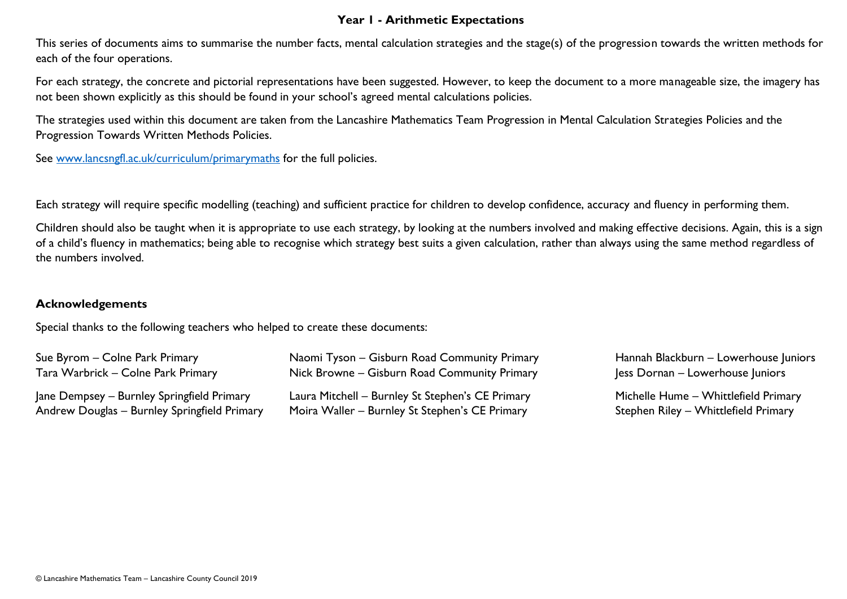## **Year 1 - Arithmetic Expectations**

This series of documents aims to summarise the number facts, mental calculation strategies and the stage(s) of the progression towards the written methods for each of the four operations.

For each strategy, the concrete and pictorial representations have been suggested. However, to keep the document to a more manageable size, the imagery has not been shown explicitly as this should be found in your school's agreed mental calculations policies.

The strategies used within this document are taken from the Lancashire Mathematics Team Progression in Mental Calculation Strategies Policies and the Progression Towards Written Methods Policies.

See [www.lancsngfl.ac.uk/curriculum/primarymaths](http://www.lancsngfl.ac.uk/curriculum/primarymaths) for the full policies.

Each strategy will require specific modelling (teaching) and sufficient practice for children to develop confidence, accuracy and fluency in performing them.

Children should also be taught when it is appropriate to use each strategy, by looking at the numbers involved and making effective decisions. Again, this is a sign of a child's fluency in mathematics; being able to recognise which strategy best suits a given calculation, rather than always using the same method regardless of the numbers involved.

## **Acknowledgements**

Special thanks to the following teachers who helped to create these documents:

| Sue Byrom - Colne Park Primary               | Naomi Tyson – Gisburn Road Community Primary     | Hannah Blackburn - Lowerhouse Juniors |
|----------------------------------------------|--------------------------------------------------|---------------------------------------|
| Tara Warbrick – Colne Park Primary           | Nick Browne – Gisburn Road Community Primary     | Jess Dornan – Lowerhouse Juniors      |
| Jane Dempsey – Burnley Springfield Primary   | Laura Mitchell - Burnley St Stephen's CE Primary | Michelle Hume - Whittlefield Primary  |
| Andrew Douglas - Burnley Springfield Primary | Moira Waller – Burnley St Stephen's CE Primary   | Stephen Riley – Whittlefield Primary  |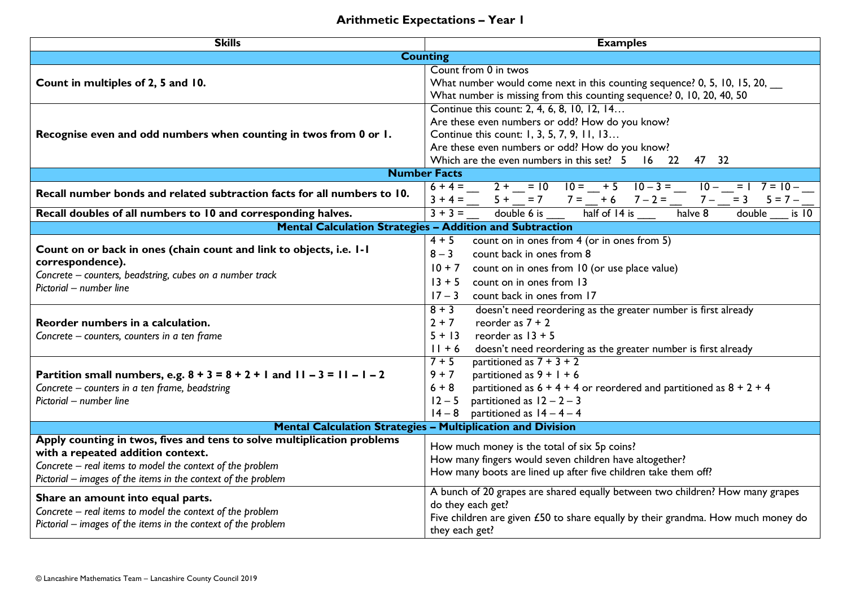## **Arithmetic Expectations – Year 1**

| <b>Skills</b>                                                                                                                                                                                                                                                                                                                                                                                                                   | <b>Examples</b>                                                                                                                                                                                                                                                                                                                                                                                                                                                                                                                                                                                                                                                                                                                           |  |  |
|---------------------------------------------------------------------------------------------------------------------------------------------------------------------------------------------------------------------------------------------------------------------------------------------------------------------------------------------------------------------------------------------------------------------------------|-------------------------------------------------------------------------------------------------------------------------------------------------------------------------------------------------------------------------------------------------------------------------------------------------------------------------------------------------------------------------------------------------------------------------------------------------------------------------------------------------------------------------------------------------------------------------------------------------------------------------------------------------------------------------------------------------------------------------------------------|--|--|
| <b>Counting</b>                                                                                                                                                                                                                                                                                                                                                                                                                 |                                                                                                                                                                                                                                                                                                                                                                                                                                                                                                                                                                                                                                                                                                                                           |  |  |
| Count in multiples of 2, 5 and 10.                                                                                                                                                                                                                                                                                                                                                                                              | Count from 0 in twos<br>What number would come next in this counting sequence? 0, 5, 10, 15, 20,<br>What number is missing from this counting sequence? 0, 10, 20, 40, 50                                                                                                                                                                                                                                                                                                                                                                                                                                                                                                                                                                 |  |  |
| Recognise even and odd numbers when counting in twos from 0 or 1.                                                                                                                                                                                                                                                                                                                                                               | Continue this count: 2, 4, 6, 8, 10, 12, 14<br>Are these even numbers or odd? How do you know?<br>Continue this count: 1, 3, 5, 7, 9, 11, 13<br>Are these even numbers or odd? How do you know?<br>Which are the even numbers in this set? 5 16 22 47 32                                                                                                                                                                                                                                                                                                                                                                                                                                                                                  |  |  |
| <b>Number Facts</b>                                                                                                                                                                                                                                                                                                                                                                                                             |                                                                                                                                                                                                                                                                                                                                                                                                                                                                                                                                                                                                                                                                                                                                           |  |  |
| Recall number bonds and related subtraction facts for all numbers to 10.                                                                                                                                                                                                                                                                                                                                                        | $6+4=\underline{2+}=\underline{10}$ $10=\underline{15}$ $10-3=\underline{15}$<br>$10 - 1$<br>$7 = 10 -$<br>$\frac{3+4=\frac{1}{3}+\frac{1}{3}+\frac{1}{3}=\frac{7}{3}+\frac{7}{3}=\frac{7}{3}+\frac{7}{3}=\frac{7}{3}=\frac{7}{3}=\frac{7}{3}=\frac{7}{3}=\frac{7}{3}=\frac{7}{3}=\frac{7}{3}=\frac{7}{3}=\frac{7}{3}=\frac{7}{3}=\frac{7}{3}=\frac{7}{3}=\frac{7}{3}=\frac{7}{3}=\frac{7}{3}=\frac{7}{3}=\frac{7}{3}=\frac{7}{3}=\frac{7}{3}=\frac{7}{3}=\frac{7}{3}=\frac{7}{3}=\frac{7}{3}=\frac{7$                                                                                                                                                                                                                                    |  |  |
| Recall doubles of all numbers to 10 and corresponding halves.                                                                                                                                                                                                                                                                                                                                                                   | is <sup>10</sup>                                                                                                                                                                                                                                                                                                                                                                                                                                                                                                                                                                                                                                                                                                                          |  |  |
| Mental Calculation Strategies - Addition and Subtraction                                                                                                                                                                                                                                                                                                                                                                        |                                                                                                                                                                                                                                                                                                                                                                                                                                                                                                                                                                                                                                                                                                                                           |  |  |
| Count on or back in ones (chain count and link to objects, i.e. I-I<br>correspondence).<br>Concrete - counters, beadstring, cubes on a number track<br>Pictorial - number line<br>Reorder numbers in a calculation.<br>Concrete – counters, counters in a ten frame<br>Partition small numbers, e.g. $8 + 3 = 8 + 2 + 1$ and $11 - 3 = 11 - 1 - 2$<br>Concrete - counters in a ten frame, beadstring<br>Pictorial - number line | count on in ones from 4 (or in ones from 5)<br>$4 + 5$<br>$8 - 3$<br>count back in ones from 8<br>$10 + 7$<br>count on in ones from 10 (or use place value)<br>count on in ones from 13<br>$13 + 5$<br>$17 - 3$<br>count back in ones from 17<br>$8 + 3$<br>doesn't need reordering as the greater number is first already<br>$2 + 7$<br>reorder as $7 + 2$<br>$5 + 13$<br>reorder as $13 + 5$<br>$11 + 6$<br>doesn't need reordering as the greater number is first already<br>partitioned as $7 + 3 + 2$<br>$7 + 5$<br>$9 + 7$<br>partitioned as $9 + 1 + 6$<br>$6 + 8$<br>partitioned as $6 + 4 + 4$ or reordered and partitioned as $8 + 2 + 4$<br>partitioned as $12 - 2 - 3$<br>$12 - 5$<br>partitioned as $14 - 4 - 4$<br>$14 - 8$ |  |  |
| <b>Mental Calculation Strategies - Multiplication and Division</b>                                                                                                                                                                                                                                                                                                                                                              |                                                                                                                                                                                                                                                                                                                                                                                                                                                                                                                                                                                                                                                                                                                                           |  |  |
| Apply counting in twos, fives and tens to solve multiplication problems<br>with a repeated addition context.<br>Concrete - real items to model the context of the problem<br>Pictorial - images of the items in the context of the problem                                                                                                                                                                                      | How much money is the total of six 5p coins?<br>How many fingers would seven children have altogether?<br>How many boots are lined up after five children take them off?                                                                                                                                                                                                                                                                                                                                                                                                                                                                                                                                                                  |  |  |
| Share an amount into equal parts.<br>Concrete - real items to model the context of the problem<br>Pictorial – images of the items in the context of the problem                                                                                                                                                                                                                                                                 | A bunch of 20 grapes are shared equally between two children? How many grapes<br>do they each get?<br>Five children are given £50 to share equally by their grandma. How much money do<br>they each get?                                                                                                                                                                                                                                                                                                                                                                                                                                                                                                                                  |  |  |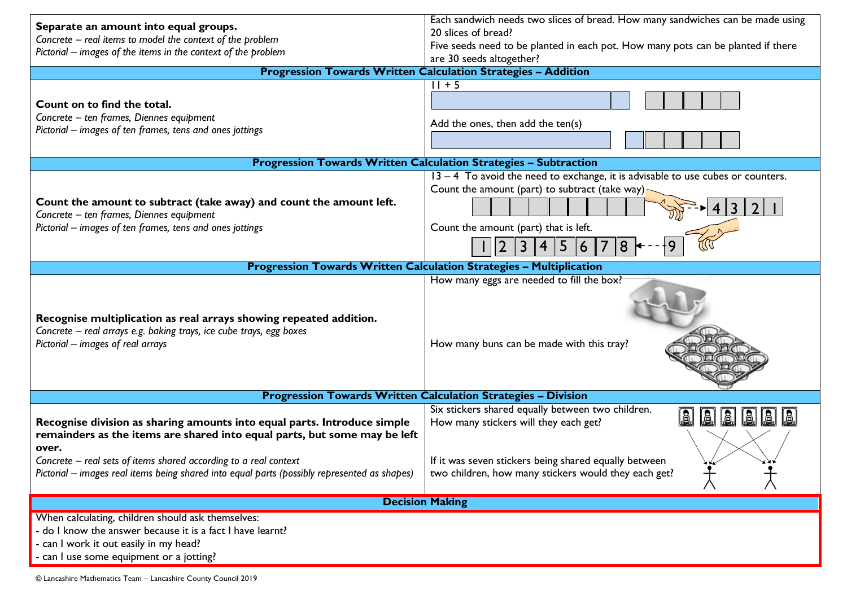| Separate an amount into equal groups.                                                                                                                                                                                              | Each sandwich needs two slices of bread. How many sandwiches can be made using                                                                                                           |  |  |
|------------------------------------------------------------------------------------------------------------------------------------------------------------------------------------------------------------------------------------|------------------------------------------------------------------------------------------------------------------------------------------------------------------------------------------|--|--|
| Concrete - real items to model the context of the problem                                                                                                                                                                          | 20 slices of bread?                                                                                                                                                                      |  |  |
| Pictorial - images of the items in the context of the problem                                                                                                                                                                      | Five seeds need to be planted in each pot. How many pots can be planted if there                                                                                                         |  |  |
|                                                                                                                                                                                                                                    | are 30 seeds altogether?                                                                                                                                                                 |  |  |
| <b>Progression Towards Written Calculation Strategies - Addition</b>                                                                                                                                                               |                                                                                                                                                                                          |  |  |
| Count on to find the total.<br>Concrete - ten frames, Diennes equipment<br>Pictorial – images of ten frames, tens and ones jottings                                                                                                | $11 + 5$<br>Add the ones, then add the ten(s)                                                                                                                                            |  |  |
|                                                                                                                                                                                                                                    | <b>Progression Towards Written Calculation Strategies - Subtraction</b>                                                                                                                  |  |  |
| Count the amount to subtract (take away) and count the amount left.<br>Concrete - ten frames, Diennes equipment<br>Pictorial – images of ten frames, tens and ones jottings                                                        | $13 - 4$ To avoid the need to exchange, it is advisable to use cubes or counters.<br>Count the amount (part) to subtract (take way)<br>Count the amount (part) that is left.<br> 8 <br>6 |  |  |
|                                                                                                                                                                                                                                    |                                                                                                                                                                                          |  |  |
| <b>Progression Towards Written Calculation Strategies - Multiplication</b>                                                                                                                                                         |                                                                                                                                                                                          |  |  |
| Recognise multiplication as real arrays showing repeated addition.<br>Concrete - real arrays e.g. baking trays, ice cube trays, egg boxes<br>Pictorial - images of real arrays                                                     | How many eggs are needed to fill the box?<br>How many buns can be made with this tray?                                                                                                   |  |  |
|                                                                                                                                                                                                                                    | <b>Progression Towards Written Calculation Strategies - Division</b>                                                                                                                     |  |  |
| Recognise division as sharing amounts into equal parts. Introduce simple<br>remainders as the items are shared into equal parts, but some may be left<br>over.<br>Concrete - real sets of items shared according to a real context | Six stickers shared equally between two children.<br>How many stickers will they each get?<br>If it was seven stickers being shared equally between                                      |  |  |
| Pictorial – images real items being shared into equal parts (possibly represented as shapes)                                                                                                                                       | two children, how many stickers would they each get?                                                                                                                                     |  |  |
| <b>Decision Making</b>                                                                                                                                                                                                             |                                                                                                                                                                                          |  |  |
| When calculating, children should ask themselves:<br>- do I know the answer because it is a fact I have learnt?<br>- can I work it out easily in my head?<br>- can I use some equipment or a jotting?                              |                                                                                                                                                                                          |  |  |